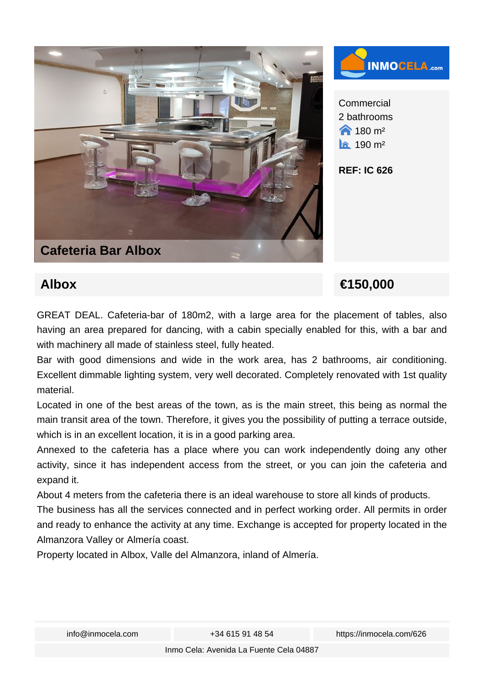



**Commercial** 2 bathrooms  $\bigwedge$  180 m<sup>2</sup> **190 m<sup>2</sup>** 

**REF: IC 626**

## **Albox** ∈150,000

GREAT DEAL. Cafeteria-bar of 180m2, with a large area for the placement of tables, also having an area prepared for dancing, with a cabin specially enabled for this, with a bar and with machinery all made of stainless steel, fully heated.

Bar with good dimensions and wide in the work area, has 2 bathrooms, air conditioning. Excellent dimmable lighting system, very well decorated. Completely renovated with 1st quality material.

Located in one of the best areas of the town, as is the main street, this being as normal the main transit area of the town. Therefore, it gives you the possibility of putting a terrace outside, which is in an excellent location, it is in a good parking area.

Annexed to the cafeteria has a place where you can work independently doing any other activity, since it has independent access from the street, or you can join the cafeteria and expand it.

About 4 meters from the cafeteria there is an ideal warehouse to store all kinds of products.

The business has all the services connected and in perfect working order. All permits in order and ready to enhance the activity at any time. Exchange is accepted for property located in the Almanzora Valley or Almería coast.

Property located in Albox, Valle del Almanzora, inland of Almería.